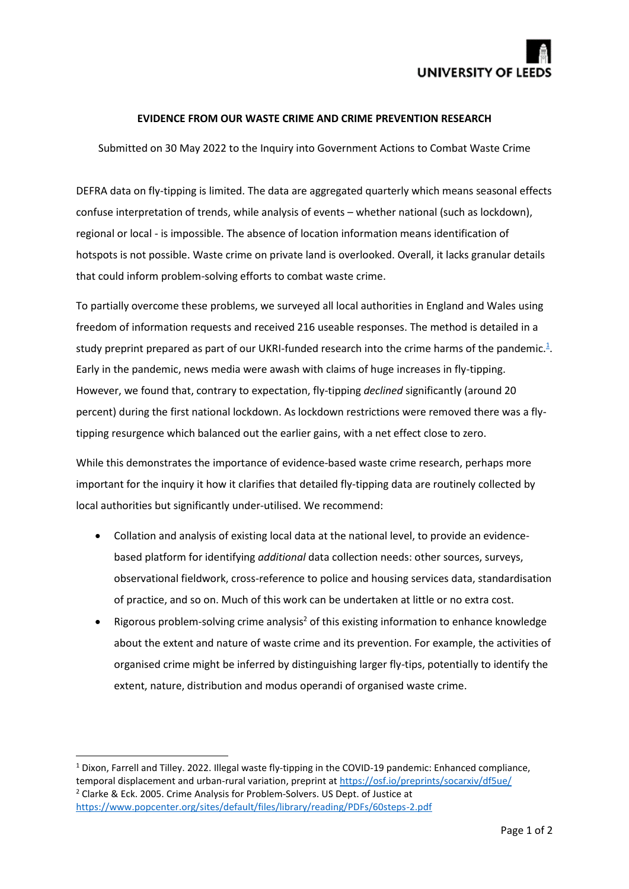

## **EVIDENCE FROM OUR WASTE CRIME AND CRIME PREVENTION RESEARCH**

Submitted on 30 May 2022 to the Inquiry into Government Actions to Combat Waste Crime

DEFRA data on fly-tipping is limited. The data are aggregated quarterly which means seasonal effects confuse interpretation of trends, while analysis of events – whether national (such as lockdown), regional or local - is impossible. The absence of location information means identification of hotspots is not possible. Waste crime on private land is overlooked. Overall, it lacks granular details that could inform problem-solving efforts to combat waste crime.

To partially overcome these problems, we surveyed all local authorities in England and Wales using freedom of information requests and received 216 useable responses. The method is detailed in a study preprint prepared as part of our UKRI-funded research into the crime harms of the pandemic. $4$ . Early in the pandemic, news media were awash with claims of huge increases in fly-tipping. However, we found that, contrary to expectation, fly-tipping *declined* significantly (around 20 percent) during the first national lockdown. As lockdown restrictions were removed there was a flytipping resurgence which balanced out the earlier gains, with a net effect close to zero.

While this demonstrates the importance of evidence-based waste crime research, perhaps more important for the inquiry it how it clarifies that detailed fly-tipping data are routinely collected by local authorities but significantly under-utilised. We recommend:

- Collation and analysis of existing local data at the national level, to provide an evidencebased platform for identifying *additional* data collection needs: other sources, surveys, observational fieldwork, cross-reference to police and housing services data, standardisation of practice, and so on. Much of this work can be undertaken at little or no extra cost.
- Rigorous problem-solving crime analysis<sup>2</sup> of this existing information to enhance knowledge about the extent and nature of waste crime and its prevention. For example, the activities of organised crime might be inferred by distinguishing larger fly-tips, potentially to identify the extent, nature, distribution and modus operandi of organised waste crime.

<sup>&</sup>lt;sup>1</sup> Dixon, Farrell and Tilley. 2022. Illegal waste fly-tipping in the COVID-19 pandemic: Enhanced compliance, temporal displacement and urban-rural variation, preprint a[t https://osf.io/preprints/socarxiv/df5ue/](https://osf.io/preprints/socarxiv/df5ue/) <sup>2</sup> Clarke & Eck. 2005. Crime Analysis for Problem-Solvers. US Dept. of Justice at <https://www.popcenter.org/sites/default/files/library/reading/PDFs/60steps-2.pdf>